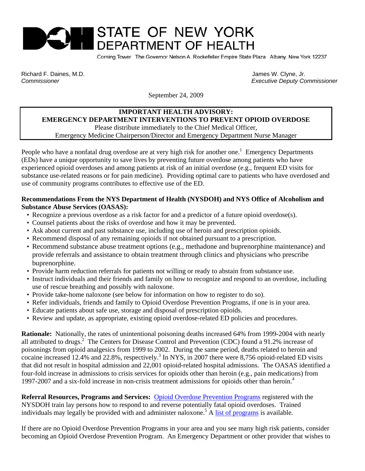# STATE OF NEW YORK **DEPARTMENT OF HEALTH**

Corning Tower The Governor Nelson A. Rockefeller Empire State Plaza Albany, New York 12237

Richard F. Daines, M.D. James W. Clyne, Jr. James W. Clyne, Jr. James W. Clyne, Jr. James W. Clyne, Jr. James W. Clyne, Jr. James W. Clyne, Jr. James W. Clyne, Jr. James W. Clyne, Jr. James W. Clyne, Jr. James W. Clyne, Jr

 *Commissioner Executive Deputy Commissioner* 

September 24, 2009

#### **IMPORTANT HEALTH ADVISORY: EMERGENCY DEPARTMENT INTERVENTIONS TO PREVENT OPIOID OVERDOSE** Please distribute immediately to the Chief Medical Officer, Emergency Medicine Chairperson/Director and Emergency Department Nurse Manager

People who have a nonfatal drug overdose are at very high risk for another one.<sup>1</sup> Emergency Departments (EDs) have a unique opportunity to save lives by preventing future overdose among patients who have experienced opioid overdoses and among patients at risk of an initial overdose (e.g., frequent ED visits for substance use-related reasons or for pain medicine). Providing optimal care to patients who have overdosed and use of community programs contributes to effective use of the ED.

### **Recommendations From the NYS Department of Health (NYSDOH) and NYS Office of Alcoholism and Substance Abuse Services (OASAS):**

- Recognize a previous overdose as a risk factor for and a predictor of a future opioid overdose(s).
- Counsel patients about the risks of overdose and how it may be prevented.
- Ask about current and past substance use, including use of heroin and prescription opioids.
- Recommend disposal of any remaining opioids if not obtained pursuant to a prescription.
- Recommend substance abuse treatment options (e.g., methadone and buprenorphine maintenance) and provide referrals and assistance to obtain treatment through clinics and physicians who prescribe buprenorphine.
- Provide harm reduction referrals for patients not willing or ready to abstain from substance use.
- Instruct individuals and their friends and family on how to recognize and respond to an overdose, including use of rescue breathing and possibly with naloxone.
- Provide take-home naloxone (see below for information on how to register to do so).
- Refer individuals, friends and family to Opioid Overdose Prevention Programs, if one is in your area.
- Educate patients about safe use, storage and disposal of prescription opioids.
- Review and update, as appropriate, existing opioid overdose-related ED policies and procedures.

**Rationale:** Nationally, the rates of unintentional poisoning deaths increased 64% from 1999-2004 with nearly all attributed to drugs.<sup>2</sup> The Centers for Disease Control and Prevention (CDC) found a 91.2% increase of poisonings from opioid analgesics from 1999 to 2002. During the same period, deaths related to heroin and cocaine increased 12.4% and 22.8%, respectively.<sup>3</sup> In NYS, in 2007 there were 8,756 opioid-related ED visits that did not result in hospital admission and 22,001 opioid-related hospital admissions. The OASAS identified a four-fold increase in admissions to crisis services for opioids other than heroin (e.g., pain medications) from 1997-2007 and a six-fold increase in non-crisis treatment admissions for opioids other than heroin.<sup>4</sup>

**Referral Resources, Programs and Services:** [Opioid Overdose Prevention Programs](http://nyhealth.gov/diseases/aids/harm_reduction/opioidprevention/index.htm) registered with the NYSDOH train lay persons how to respond to and reverse potentially fatal opioid overdoses. Trained individuals may legally be provided with and administer naloxone.<sup>5</sup> A [list of programs](http://www.nyhealth.gov/diseases/aids/harm_reduction/opioidprevention/programdirectory.htm) is available.

If there are no Opioid Overdose Prevention Programs in your area and you see many high risk patients, consider becoming an Opioid Overdose Prevention Program. An Emergency Department or other provider that wishes to